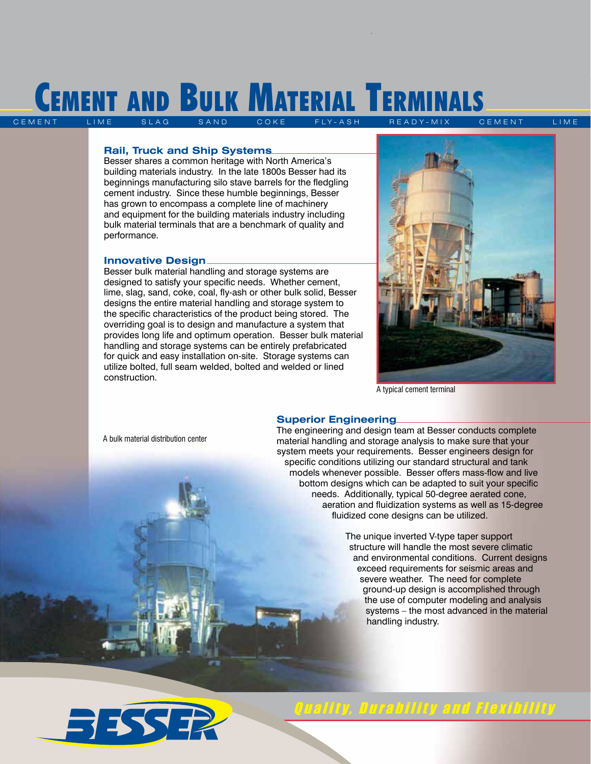## CEMENT AND BULK MATERIAL TERMINALS SAND COKE FLY-ASH READY-MIX CEMENT LIME

#### **Rail, Truck and Ship Systems**

Besser shares a common heritage with North America's building materials industry. In the late 1800s Besser had its beginnings manufacturing silo stave barrels for the fledgling cement industry. Since these humble beginnings, Besser has grown to encompass a complete line of machinery and equipment for the building materials industry including bulk material terminals that are a benchmark of quality and performance.

#### **Innovative Design**

Besser bulk material handling and storage systems are designed to satisfy your specific needs. Whether cement, lime, slag, sand, coke, coal, fly-ash or other bulk solid, Besser designs the entire material handling and storage system to the specific characteristics of the product being stored. The overriding goal is to design and manufacture a system that provides long life and optimum operation. Besser bulk material handling and storage systems can be entirely prefabricated for quick and easy installation on-site. Storage systems can utilize bolted, full seam welded, bolted and welded or lined construction.



A typical cement terminal

#### **Superior Engineering**

The engineering and design team at Besser conducts complete material handling and storage analysis to make sure that your system meets your requirements. Besser engineers design for specific conditions utilizing our standard structural and tank models whenever possible. Besser offers mass-flow and live bottom designs which can be adapted to suit your specific needs. Additionally, typical 50-degree aerated cone, aeration and fluidization systems as well as 15-degree fluidized cone designs can be utilized.

> The unique inverted V-type taper support structure will handle the most severe climatic and environmental conditions. Current designs exceed requirements for seismic areas and severe weather. The need for complete ground-up design is accomplished through the use of computer modeling and analysis systems – the most advanced in the material handling industry.



### Quality, Durability and Flexibility

A bulk material distribution center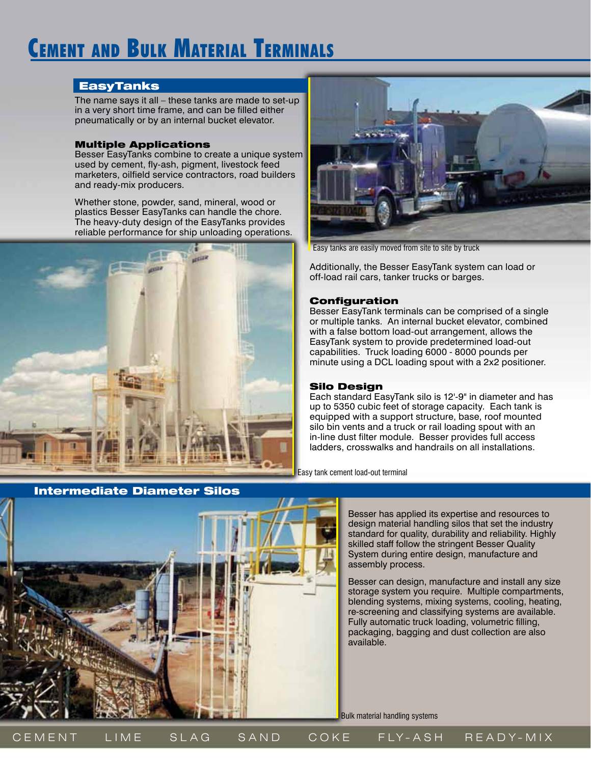## Cement and Bulk Material Terminals

#### EasyTanks

The name says it all – these tanks are made to set-up in a very short time frame, and can be filled either pneumatically or by an internal bucket elevator.

#### Multiple Applications

Besser EasyTanks combine to create a unique system used by cement, fly-ash, pigment, livestock feed marketers, oilfield service contractors, road builders and ready-mix producers.

Whether stone, powder, sand, mineral, wood or plastics Besser EasyTanks can handle the chore. The heavy-duty design of the EasyTanks provides reliable performance for ship unloading operations.





Easy tanks are easily moved from site to site by truck

Additionally, the Besser EasyTank system can load or off-load rail cars, tanker trucks or barges.

#### Configuration

Besser EasyTank terminals can be comprised of a single or multiple tanks. An internal bucket elevator, combined with a false bottom load-out arrangement, allows the EasyTank system to provide predetermined load-out capabilities. Truck loading 6000 - 8000 pounds per minute using a DCL loading spout with a 2x2 positioner.

#### Silo Design

Each standard EasyTank silo is 12'-9" in diameter and has up to 5350 cubic feet of storage capacity. Each tank is equipped with a support structure, base, roof mounted silo bin vents and a truck or rail loading spout with an in-line dust filter module. Besser provides full access ladders, crosswalks and handrails on all installations.

Easy tank cement load-out terminal



Besser has applied its expertise and resources to design material handling silos that set the industry standard for quality, durability and reliability. Highly skilled staff follow the stringent Besser Quality System during entire design, manufacture and assembly process.

Besser can design, manufacture and install any size storage system you require. Multiple compartments, blending systems, mixing systems, cooling, heating, re-screening and classifying systems are available. Fully automatic truck loading, volumetric filling, packaging, bagging and dust collection are also available.

Bulk material handling systems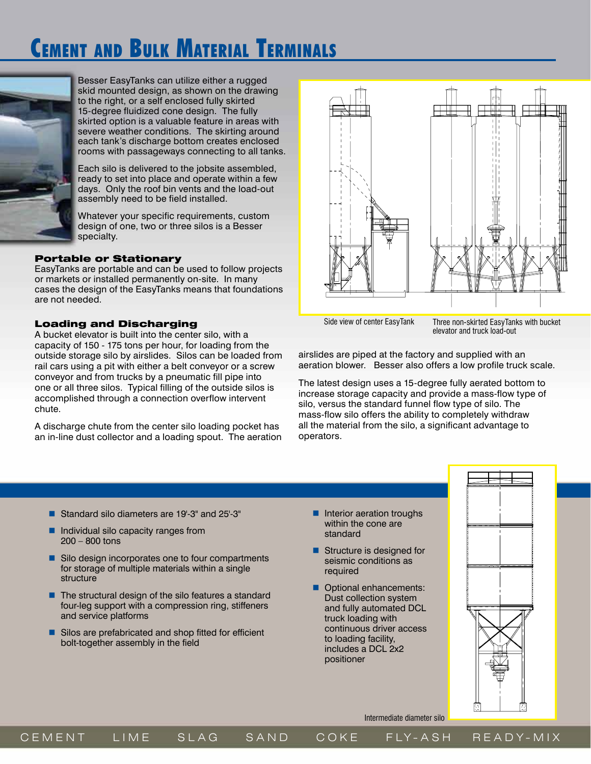## Cement and Bulk Material Terminals



Besser EasyTanks can utilize either a rugged skid mounted design, as shown on the drawing to the right, or a self enclosed fully skirted 15-degree fluidized cone design. The fully skirted option is a valuable feature in areas with severe weather conditions. The skirting around each tank's discharge bottom creates enclosed rooms with passageways connecting to all tanks.

Each silo is delivered to the jobsite assembled, ready to set into place and operate within a few days. Only the roof bin vents and the load-out assembly need to be field installed.

Whatever your specific requirements, custom design of one, two or three silos is a Besser specialty.

#### Portable or Stationary

EasyTanks are portable and can be used to follow projects or markets or installed permanently on-site. In many cases the design of the EasyTanks means that foundations are not needed.

#### Loading and Discharging

A bucket elevator is built into the center silo, with a capacity of 150 - 175 tons per hour, for loading from the outside storage silo by airslides. Silos can be loaded from rail cars using a pit with either a belt conveyor or a screw conveyor and from trucks by a pneumatic fill pipe into one or all three silos. Typical filling of the outside silos is accomplished through a connection overflow intervent chute.

A discharge chute from the center silo loading pocket has an in-line dust collector and a loading spout. The aeration



Side view of center EasyTank Three non-skirted EasyTanks with bucket elevator and truck load-out

airslides are piped at the factory and supplied with an aeration blower. Besser also offers a low profile truck scale.

The latest design uses a 15-degree fully aerated bottom to increase storage capacity and provide a mass-flow type of silo, versus the standard funnel flow type of silo. The mass-flow silo offers the ability to completely withdraw all the material from the silo, a significant advantage to operators.

- Standard silo diameters are 19'-3" and 25'-3"
- Individual silo capacity ranges from 200 – 800 tons
- Silo design incorporates one to four compartments for storage of multiple materials within a single structure
- $\blacksquare$  The structural design of the silo features a standard four-leg support with a compression ring, stiffeners and service platforms
- Silos are prefabricated and shop fitted for efficient bolt-together assembly in the field
- **Interior aeration troughs** within the cone are standard
- **Structure is designed for** seismic conditions as required
- **Optional enhancements:** Dust collection system and fully automated DCL truck loading with continuous driver access to loading facility, includes a DCL 2x2 positioner



Intermediate diameter silo